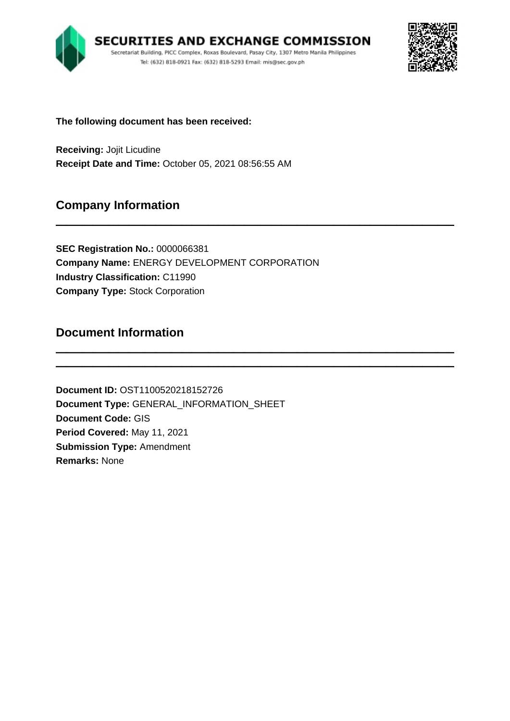



**The following document has been received:**

**Receiving:** Jojit Licudine **Receipt Date and Time:** October 05, 2021 08:56:55 AM

# **Company Information**

**SEC Registration No.:** 0000066381 **Company Name:** ENERGY DEVELOPMENT CORPORATION **Industry Classification:** C11990 **Company Type:** Stock Corporation

\_\_\_\_\_\_\_\_\_\_\_\_\_\_\_\_\_\_\_\_\_\_\_\_\_\_\_\_\_\_\_\_\_\_\_\_\_\_\_\_\_\_\_\_\_\_\_\_\_\_\_\_\_\_\_\_\_\_\_\_\_\_\_\_\_\_\_\_\_\_\_\_\_\_\_\_

\_\_\_\_\_\_\_\_\_\_\_\_\_\_\_\_\_\_\_\_\_\_\_\_\_\_\_\_\_\_\_\_\_\_\_\_\_\_\_\_\_\_\_\_\_\_\_\_\_\_\_\_\_\_\_\_\_\_\_\_\_\_\_\_\_\_\_\_\_\_\_\_\_\_\_\_ \_\_\_\_\_\_\_\_\_\_\_\_\_\_\_\_\_\_\_\_\_\_\_\_\_\_\_\_\_\_\_\_\_\_\_\_\_\_\_\_\_\_\_\_\_\_\_\_\_\_\_\_\_\_\_\_\_\_\_\_\_\_\_\_\_\_\_\_\_\_\_\_\_\_\_\_

# **Document Information**

**Document ID:** OST1100520218152726 **Document Type:** GENERAL\_INFORMATION\_SHEET **Document Code:** GIS **Period Covered:** May 11, 2021 **Submission Type:** Amendment **Remarks:** None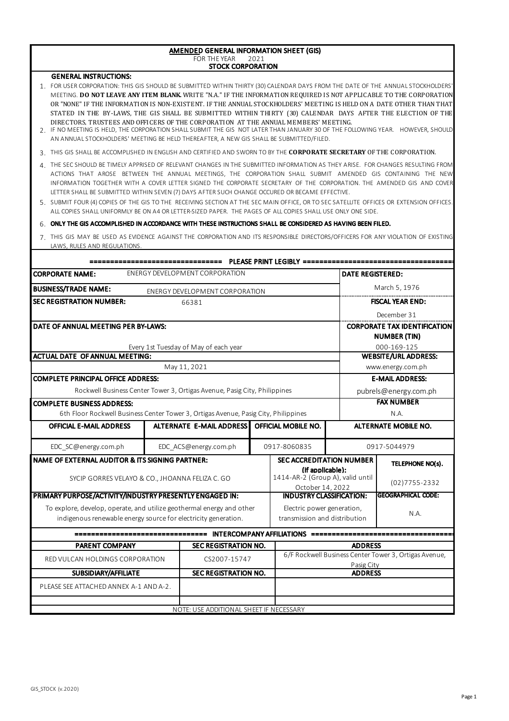#### AMENDED GENERAL INFORMATION SHEET (GIS) FOR THE YEAR STOCK CORPORATION 2021

### GENERAL INSTRUCTIONS:

- 1. FOR USER CORPORATION: THIS GIS SHOULD BE SUBMITTED WITHIN THIRTY (30) CALENDAR DAYS FROM THE DATE OF THE ANNUAL STOCKHOLDERS' MEETING. **DO NOT LEAVE ANY ITEM BLANK.** WRITE "N.A." IF THE INFORMATION REQUIRED IS NOT APPLICABLE TO THE CORPORATION OR "NONE" IF THE INFORMATION IS NON-EXISTENT. IF THE ANNUAL STOCKHOLDERS' MEETING IS HELD ON A DATE OTHER THAN THAT STATED IN THE BY-LAWS, THE GIS SHALL BE SUBMITTED WITHIN THIRTY (30) CALENDAR DAYS AFTER THE ELECTION OF THE DIRECTORS, TRUSTEES AND OFFICERS OF THE CORPORATION AT THE ANNUAL MEMBERS' MEETING.
- 2. IF NO MEETING IS HELD, THE CORPORATION SHALL SUBMIT THE GIS NOT LATER THAN JANUARY 30 OF THE FOLLOWING YEAR. HOWEVER, SHOULD AN ANNUAL STOCKHOLDERS' MEETING BE HELD THEREAFTER, A NEW GIS SHALL BE SUBMITTED/FILED.
- 3. THIS GIS SHALL BE ACCOMPLISHED IN ENGLISH AND CERTIFIED AND SWORN TO BY THE **CORPORATE SECRETARY** OF THE CORPORATION.
- 4. THE SEC SHOULD BE TIMELY APPRISED OF RELEVANT CHANGES IN THE SUBMITTED INFORMATION AS THEY ARISE. FOR CHANGES RESULTING FROM ACTIONS THAT AROSE BETWEEN THE ANNUAL MEETINGS, THE CORPORATION SHALL SUBMIT AMENDED GIS CONTAINING THE NEW INFORMATION TOGETHER WITH A COVER LETTER SIGNED THE CORPORATE SECRETARY OF THE CORPORATION. THE AMENDED GIS AND COVER LETTER SHALL BE SUBMITTED WITHIN SEVEN (7) DAYS AFTER SUCH CHANGE OCCURED OR BECAME EFFECTIVE.
- 5. SUBMIT FOUR (4) COPIES OF THE GIS TO THE RECEIVING SECTION AT THE SEC MAIN OFFICE, OR TO SEC SATELLITE OFFICES OR EXTENSION OFFICES. ALL COPIES SHALL UNIFORMLY BE ON A4 OR LETTER-SIZED PAPER. THE PAGES OF ALL COPIES SHALL USE ONLY ONE SIDE.

### 6. ONLY THE GIS ACCOMPLISHED IN ACCORDANCE WITH THESE INSTRUCTIONS SHALL BE CONSIDERED AS HAVING BEEN FILED.

7. THIS GIS MAY BE USED AS EVIDENCE AGAINST THE CORPORATION AND ITS RESPONSIBLE DIRECTORS/OFFICERS FOR ANY VIOLATION OF EXISTING LAWS, RULES AND REGULATIONS.

| March 5, 1976<br>ENERGY DEVELOPMENT CORPORATION<br><b>FISCAL YEAR END:</b><br>66381<br>December 31<br><b>CORPORATE TAX IDENTIFICATION</b><br><b>NUMBER (TIN)</b><br>000-169-125<br>Every 1st Tuesday of May of each year<br><b>WEBSITE/URL ADDRESS:</b><br>May 11, 2021<br>www.energy.com.ph<br><b>E-MAIL ADDRESS:</b><br>Rockwell Business Center Tower 3, Ortigas Avenue, Pasig City, Philippines<br>pubrels@energy.com.ph<br><b>FAX NUMBER</b><br>6th Floor Rockwell Business Center Tower 3, Ortigas Avenue, Pasig City, Philippines<br>N.A.<br>ALTERNATE E-MAIL ADDRESS<br><b>OFFICIAL MOBILE NO.</b><br><b>OFFICIAL E-MAIL ADDRESS</b><br><b>ALTERNATE MOBILE NO.</b><br>0917-8060835<br>EDC SC@energy.com.ph<br>EDC ACS@energy.com.ph<br>0917-5044979<br><b>SEC ACCREDITATION NUMBER</b><br>TELEPHONE NO(s).<br>(if applicable):<br>1414-AR-2 (Group A), valid until<br>SYCIP GORRES VELAYO & CO., JHOANNA FELIZA C. GO<br>$(02)7755 - 2332$<br>October 14, 2022<br><b>GEOGRAPHICAL CODE:</b><br><b>INDUSTRY CLASSIFICATION:</b><br>To explore, develop, operate, and utilize geothermal energy and other<br>Electric power generation,<br>N.A.<br>transmission and distribution<br>indigenous renewable energy source for electricity generation.<br><b>PARENT COMPANY</b><br><b>SEC REGISTRATION NO.</b><br><b>ADDRESS</b><br>6/F Rockwell Business Center Tower 3, Ortigas Avenue,<br>RED VULCAN HOLDINGS CORPORATION<br>CS2007-15747<br>Pasig City<br>SUBSIDIARY/AFFILIATE<br><b>SEC REGISTRATION NO.</b><br><b>ADDRESS</b><br>PLEASE SEE ATTACHED ANNEX A-1 AND A-2. | <b>CORPORATE NAME:</b><br>ENERGY DEVELOPMENT CORPORATION | <b>DATE REGISTERED:</b> |  |  |  |  |  |
|----------------------------------------------------------------------------------------------------------------------------------------------------------------------------------------------------------------------------------------------------------------------------------------------------------------------------------------------------------------------------------------------------------------------------------------------------------------------------------------------------------------------------------------------------------------------------------------------------------------------------------------------------------------------------------------------------------------------------------------------------------------------------------------------------------------------------------------------------------------------------------------------------------------------------------------------------------------------------------------------------------------------------------------------------------------------------------------------------------------------------------------------------------------------------------------------------------------------------------------------------------------------------------------------------------------------------------------------------------------------------------------------------------------------------------------------------------------------------------------------------------------------------------------------------------------------------------|----------------------------------------------------------|-------------------------|--|--|--|--|--|
| <b>SEC REGISTRATION NUMBER:</b>                                                                                                                                                                                                                                                                                                                                                                                                                                                                                                                                                                                                                                                                                                                                                                                                                                                                                                                                                                                                                                                                                                                                                                                                                                                                                                                                                                                                                                                                                                                                                  | <b>BUSINESS/TRADE NAME:</b>                              |                         |  |  |  |  |  |
|                                                                                                                                                                                                                                                                                                                                                                                                                                                                                                                                                                                                                                                                                                                                                                                                                                                                                                                                                                                                                                                                                                                                                                                                                                                                                                                                                                                                                                                                                                                                                                                  |                                                          |                         |  |  |  |  |  |
| DATE OF ANNUAL MEETING PER BY-LAWS:<br><b>ACTUAL DATE OF ANNUAL MEETING:</b><br><b>COMPLETE PRINCIPAL OFFICE ADDRESS:</b><br><b>COMPLETE BUSINESS ADDRESS:</b><br><b>NAME OF EXTERNAL AUDITOR &amp; ITS SIGNING PARTNER:</b><br>PRIMARY PURPOSE/ACTIVITY/INDUSTRY PRESENTLY ENGAGED IN:                                                                                                                                                                                                                                                                                                                                                                                                                                                                                                                                                                                                                                                                                                                                                                                                                                                                                                                                                                                                                                                                                                                                                                                                                                                                                          |                                                          |                         |  |  |  |  |  |
|                                                                                                                                                                                                                                                                                                                                                                                                                                                                                                                                                                                                                                                                                                                                                                                                                                                                                                                                                                                                                                                                                                                                                                                                                                                                                                                                                                                                                                                                                                                                                                                  |                                                          |                         |  |  |  |  |  |
|                                                                                                                                                                                                                                                                                                                                                                                                                                                                                                                                                                                                                                                                                                                                                                                                                                                                                                                                                                                                                                                                                                                                                                                                                                                                                                                                                                                                                                                                                                                                                                                  |                                                          |                         |  |  |  |  |  |
|                                                                                                                                                                                                                                                                                                                                                                                                                                                                                                                                                                                                                                                                                                                                                                                                                                                                                                                                                                                                                                                                                                                                                                                                                                                                                                                                                                                                                                                                                                                                                                                  |                                                          |                         |  |  |  |  |  |
|                                                                                                                                                                                                                                                                                                                                                                                                                                                                                                                                                                                                                                                                                                                                                                                                                                                                                                                                                                                                                                                                                                                                                                                                                                                                                                                                                                                                                                                                                                                                                                                  |                                                          |                         |  |  |  |  |  |
|                                                                                                                                                                                                                                                                                                                                                                                                                                                                                                                                                                                                                                                                                                                                                                                                                                                                                                                                                                                                                                                                                                                                                                                                                                                                                                                                                                                                                                                                                                                                                                                  |                                                          |                         |  |  |  |  |  |
|                                                                                                                                                                                                                                                                                                                                                                                                                                                                                                                                                                                                                                                                                                                                                                                                                                                                                                                                                                                                                                                                                                                                                                                                                                                                                                                                                                                                                                                                                                                                                                                  |                                                          |                         |  |  |  |  |  |
|                                                                                                                                                                                                                                                                                                                                                                                                                                                                                                                                                                                                                                                                                                                                                                                                                                                                                                                                                                                                                                                                                                                                                                                                                                                                                                                                                                                                                                                                                                                                                                                  |                                                          |                         |  |  |  |  |  |
|                                                                                                                                                                                                                                                                                                                                                                                                                                                                                                                                                                                                                                                                                                                                                                                                                                                                                                                                                                                                                                                                                                                                                                                                                                                                                                                                                                                                                                                                                                                                                                                  |                                                          |                         |  |  |  |  |  |
|                                                                                                                                                                                                                                                                                                                                                                                                                                                                                                                                                                                                                                                                                                                                                                                                                                                                                                                                                                                                                                                                                                                                                                                                                                                                                                                                                                                                                                                                                                                                                                                  |                                                          |                         |  |  |  |  |  |
|                                                                                                                                                                                                                                                                                                                                                                                                                                                                                                                                                                                                                                                                                                                                                                                                                                                                                                                                                                                                                                                                                                                                                                                                                                                                                                                                                                                                                                                                                                                                                                                  |                                                          |                         |  |  |  |  |  |
|                                                                                                                                                                                                                                                                                                                                                                                                                                                                                                                                                                                                                                                                                                                                                                                                                                                                                                                                                                                                                                                                                                                                                                                                                                                                                                                                                                                                                                                                                                                                                                                  |                                                          |                         |  |  |  |  |  |
|                                                                                                                                                                                                                                                                                                                                                                                                                                                                                                                                                                                                                                                                                                                                                                                                                                                                                                                                                                                                                                                                                                                                                                                                                                                                                                                                                                                                                                                                                                                                                                                  |                                                          |                         |  |  |  |  |  |
|                                                                                                                                                                                                                                                                                                                                                                                                                                                                                                                                                                                                                                                                                                                                                                                                                                                                                                                                                                                                                                                                                                                                                                                                                                                                                                                                                                                                                                                                                                                                                                                  |                                                          |                         |  |  |  |  |  |
|                                                                                                                                                                                                                                                                                                                                                                                                                                                                                                                                                                                                                                                                                                                                                                                                                                                                                                                                                                                                                                                                                                                                                                                                                                                                                                                                                                                                                                                                                                                                                                                  |                                                          |                         |  |  |  |  |  |
|                                                                                                                                                                                                                                                                                                                                                                                                                                                                                                                                                                                                                                                                                                                                                                                                                                                                                                                                                                                                                                                                                                                                                                                                                                                                                                                                                                                                                                                                                                                                                                                  |                                                          |                         |  |  |  |  |  |
|                                                                                                                                                                                                                                                                                                                                                                                                                                                                                                                                                                                                                                                                                                                                                                                                                                                                                                                                                                                                                                                                                                                                                                                                                                                                                                                                                                                                                                                                                                                                                                                  |                                                          |                         |  |  |  |  |  |
|                                                                                                                                                                                                                                                                                                                                                                                                                                                                                                                                                                                                                                                                                                                                                                                                                                                                                                                                                                                                                                                                                                                                                                                                                                                                                                                                                                                                                                                                                                                                                                                  |                                                          |                         |  |  |  |  |  |
|                                                                                                                                                                                                                                                                                                                                                                                                                                                                                                                                                                                                                                                                                                                                                                                                                                                                                                                                                                                                                                                                                                                                                                                                                                                                                                                                                                                                                                                                                                                                                                                  |                                                          |                         |  |  |  |  |  |
|                                                                                                                                                                                                                                                                                                                                                                                                                                                                                                                                                                                                                                                                                                                                                                                                                                                                                                                                                                                                                                                                                                                                                                                                                                                                                                                                                                                                                                                                                                                                                                                  |                                                          |                         |  |  |  |  |  |
|                                                                                                                                                                                                                                                                                                                                                                                                                                                                                                                                                                                                                                                                                                                                                                                                                                                                                                                                                                                                                                                                                                                                                                                                                                                                                                                                                                                                                                                                                                                                                                                  |                                                          |                         |  |  |  |  |  |
|                                                                                                                                                                                                                                                                                                                                                                                                                                                                                                                                                                                                                                                                                                                                                                                                                                                                                                                                                                                                                                                                                                                                                                                                                                                                                                                                                                                                                                                                                                                                                                                  |                                                          |                         |  |  |  |  |  |
|                                                                                                                                                                                                                                                                                                                                                                                                                                                                                                                                                                                                                                                                                                                                                                                                                                                                                                                                                                                                                                                                                                                                                                                                                                                                                                                                                                                                                                                                                                                                                                                  |                                                          |                         |  |  |  |  |  |
|                                                                                                                                                                                                                                                                                                                                                                                                                                                                                                                                                                                                                                                                                                                                                                                                                                                                                                                                                                                                                                                                                                                                                                                                                                                                                                                                                                                                                                                                                                                                                                                  |                                                          |                         |  |  |  |  |  |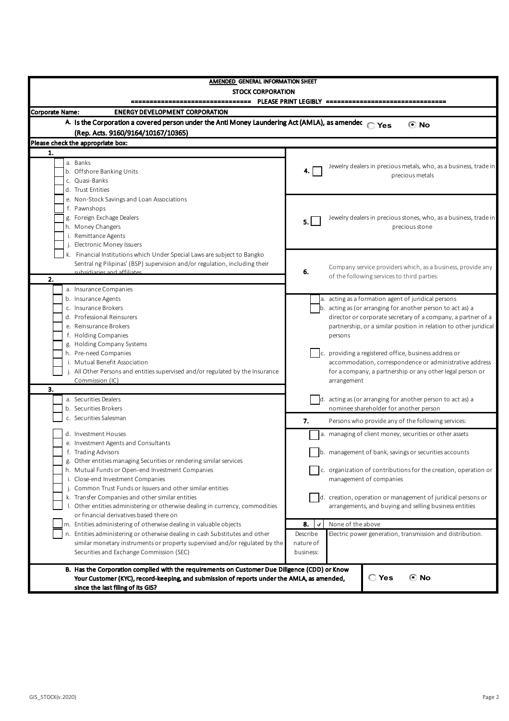| <b>AMENDED GENERAL INFORMATION SHEET</b><br><b>STOCK CORPORATION</b>                          |                                                                        |
|-----------------------------------------------------------------------------------------------|------------------------------------------------------------------------|
| <b>Corporate Name:</b><br><b>ENERGY DEVELOPMENT CORPORATION</b>                               |                                                                        |
| A. Is the Corporation a covered person under the Anti Money Laundering Act (AMLA), as amendec |                                                                        |
| (Rep. Acts. 9160/9164/10167/10365)                                                            | $\bigcirc$ Yes<br>© No                                                 |
|                                                                                               |                                                                        |
| Please check the appropriate box:                                                             |                                                                        |
| 1.                                                                                            |                                                                        |
| a. Banks                                                                                      | Jewelry dealers in precious metals, who, as a business, trade in<br>4. |
| b. Offshore Banking Units<br>c. Quasi-Banks                                                   | precious metals                                                        |
| d. Trust Entities                                                                             |                                                                        |
| e. Non-Stock Savings and Loan Associations                                                    |                                                                        |
| f. Pawnshops                                                                                  |                                                                        |
| g. Foreign Exchage Dealers                                                                    | Jewelry dealers in precious stones, who, as a business, trade in       |
| h. Money Changers                                                                             | 5.<br>precious stone                                                   |
| i. Remittance Agents                                                                          |                                                                        |
| j. Electronic Money Issuers                                                                   |                                                                        |
| k. Financial Institutions which Under Special Laws are subject to Bangko                      |                                                                        |
| Sentral ng Pilipinas' (BSP) supervision and/or regulation, including their                    | Company service providers which, as a business, provide any            |
| subsidiaries and affiliates                                                                   | 6.<br>of the following services to third parties:                      |
| 2.                                                                                            |                                                                        |
| a. Insurance Companies                                                                        |                                                                        |
| b. Insurance Agents                                                                           | a. acting as a formation agent of juridical persons                    |
| c. Insurance Brokers                                                                          | b. acting as (or arranging for another person to act as) a             |
| d. Professional Reinsurers                                                                    | director or corporate secretary of a company, a partner of a           |
| e. Reinsurance Brokers                                                                        | partnership, or a similar position in relation to other juridical      |
| f. Holding Companies                                                                          | persons                                                                |
| g. Holding Company Systems<br>h. Pre-need Companies                                           | c. providing a registered office, business address or                  |
| i. Mutual Benefit Association                                                                 | accommodation, correspondence or administrative address                |
| j. All Other Persons and entities supervised and/or regulated by the Insurance                | for a company, a partnership or any other legal person or              |
| Commission (IC)                                                                               | arrangement                                                            |
| 3.                                                                                            |                                                                        |
| a. Securities Dealers                                                                         | d. acting as (or arranging for another person to act as) a             |
| b. Securities Brokers                                                                         | nominee shareholder for another person                                 |
| c. Securities Salesman                                                                        | 7.<br>Persons who provide any of the following services:               |
|                                                                                               |                                                                        |
| d. Investment Houses<br>e. Investment Agents and Consultants                                  | a. managing of client money, securities or other assets                |
| f. Trading Advisors                                                                           | b. management of bank, savings or securities accounts                  |
| g. Other entities managing Securities or rendering similar services                           |                                                                        |
| h. Mutual Funds or Open-end Investment Companies                                              | c. organization of contributions for the creation, operation or        |
| i. Close-end Investment Companies                                                             | management of companies                                                |
| j. Common Trust Funds or Issuers and other similar entities                                   |                                                                        |
| k. Transfer Companies and other similar entities                                              | d. creation, operation or management of juridical persons or           |
| I. Other entities administering or otherwise dealing in currency, commodities                 | arrangements, and buying and selling business entities                 |
| or financial derivatives based there on                                                       |                                                                        |
| m. Entities administering of otherwise dealing in valuable objects                            | 8.<br>None of the above<br>$\cdot$                                     |
| n. Entities administering or otherwise dealing in cash Substitutes and other                  | Describe<br>Electric power generation, transmission and distribution.  |
| similar monetary instruments or property supervised and/or regulated by the                   | nature of                                                              |
| Securities and Exchange Commission (SEC)                                                      | business:                                                              |
| B. Has the Corporation complied with the requirements on Customer Due Diligence (CDD) or Know |                                                                        |
| Your Customer (KYC), record-keeping, and submission of reports under the AMLA, as amended,    | C Yes<br>ে No                                                          |
| since the last filing of its GIS?                                                             |                                                                        |
|                                                                                               |                                                                        |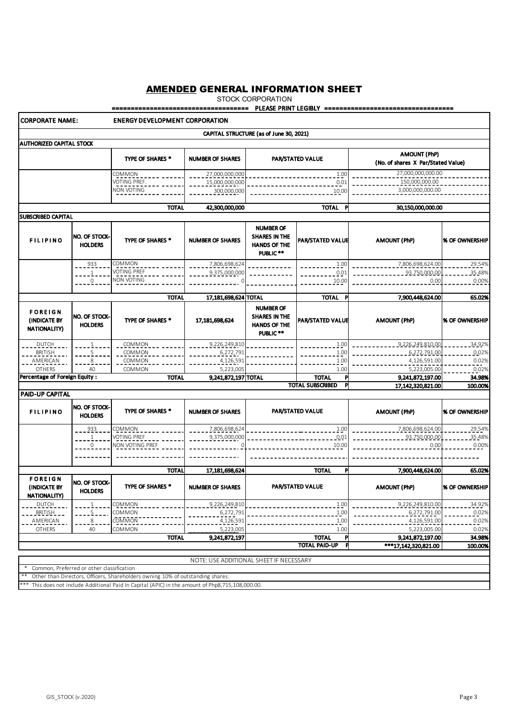STOCK CORPORATION

### ==================================== PLEASE PRINT LEGIBLY ==================================

#### CORPORATE NAME: ENERGY DEVELOPMENT CORPORATION CAPITAL STRUCTURE (as of June 30, 2021) AUTHORIZED CAPITAL STOCK PAR/STATED VALUE AMOUNT (PhP) TYPE OF SHARES \* NUMBER OF SHARES (No. of shares X Par/Stated Value)  $COMMON$  27,000,000,000,000 1.00 27,000,000,000.00 U<u>disitional</u><br>VOTING PREF.<br>Motional and a material 15,000,000,000 0.01  $-150,000,000.00$ N<u>ON VOTING</u><br>N<u>ON VOTING</u>  $-222222222222222222$ 300,000,000 10.00 TOTAL 42,300,000,000 TOTAL P 30,150,000,000.00 SUBSCRIBED CAPITAL NUMBER OF FILIPINO NO. OF STOCK-SHARES IN THE TYPE OF SHARES \* NUMBER OF SHARES PAR/STATED VALUE AMOUNT (PhP) | % OF OWNERSHIP HOLDERS HANDS OF THE PUBLIC \*\* 933 7,806,698,624 1.00 7,806,698,624.00 29.54% COMMON VOTING PREF 1 9,375,000,000 0.01 93,750,000.00 35.48% NON VOTING\_\_\_\_\_ 0 0 10.00 0.00 0.00% TOTAL 17,181,698,624 TOTAL **1** TOTAL P 7,900,448,624.00 65.02% NUMBER OF F O R E I G N NO. OF STOCK-SHARES IN THE (INDICATE BY **PAR/STATED VALUE AMOUNT (PhP)** 96 OF OWNERSHIP HOLDERS 17,181,698,624 TYPE OF SHARES \* HANDS OF THE NATIONALITY) PUBLIC \*\* DUTCH 1 COMMON 9,226,249,810 1.00 9,226,249,810.00 34.92% BRITISH 5 COMMON 6,272,791 1.00 6,272,791.00 0.02% AMERICAN 8 COMMON 4,126,591 1.00 4,126,591.00 0.02% OTHERS | 40 | COMMON | 5,223,005 | 1.00 | 5,223,005.00 | 5,223,005.00 | 0.02% Percentage of Foreign Equity : TOTAL 9,241,872,197 TOTAL 1 TOTAL P 9,241,872,197.00 9,241,872,197.00 9,241,872,197.00 100.00% TOTAL SUBSCRIBED P 17,142,320,821.00 PAID-UP CAPITAL NO. OF STOCK-F I L I P I N O TYPE OF SHARES \* PAR/STATED VALUE NUMBER OF SHARES \* NUMBER OF SHARES NUMBER OF SHARES PARYSTATED VALUE NUMBER AMOUNT (PhP) WE OF OWNERSHIP 933 COMMON 7,806,698,624 1.00 7,806,698,624.00 29.54% 1 VOTING PREF 9,375,000,000 0.01 93,750,000.00 35.48% 0 NON VOTING PREF 0 10.00 0.00 0.00% <u>----------- ----</u>.  $- - - - - - - - - - - - -$ \_\_\_\_\_\_\_\_\_\_\_\_\_\_\_\_\_\_\_\_\_ ---------------------------TOTAL 17,181,698,624 TOTAL P 7,900,448,624.00 65.02% FOREIGN NO. OF STOCK-TYPE OF SHARES \* PAR/STATED VALUE (INDICATE BY NUMBER OF SHARES \* NUMBER OF SHARES NUMBER OF SHARES PARYSTATED VALUE NUMBER AMOUNT (PhP) WE OF OWNERSHIP **NATIONALITY)**<br> **DUTCH** DUTCH 1 COMMON 9,226,249,810 1.00 9,226,249,810.00 34.92% BRITISH 5 COMMON 6,272,791 1.00 6,272,791.00 0.02% AMERICAN 8 COMMON 4,126,591 1.00 4,126,591.00 0.02% OTHERS | 40 COMMON | <sub>\_\_\_\_\_\_</sub>\_\_5,223,005 | 1.00 | 5,223,005.00 | 5,223,005.00 | 0.02% TOTAL 9,241,872,197 TOTAL P 9,241,872,197.00 34.98% **TOTAL PAID-UP**  \*\*\*17,142,320,821.00 100.00% NOTE: USE ADDITIONAL SHEET IF NECESSARY Common, Preferred or other classification Other than Directors, Officers, Shareholders owning 10% of outstanding shares.

This does not include Additional Paid In Capital (APIC) in the amount of Php8,715,108,000.00.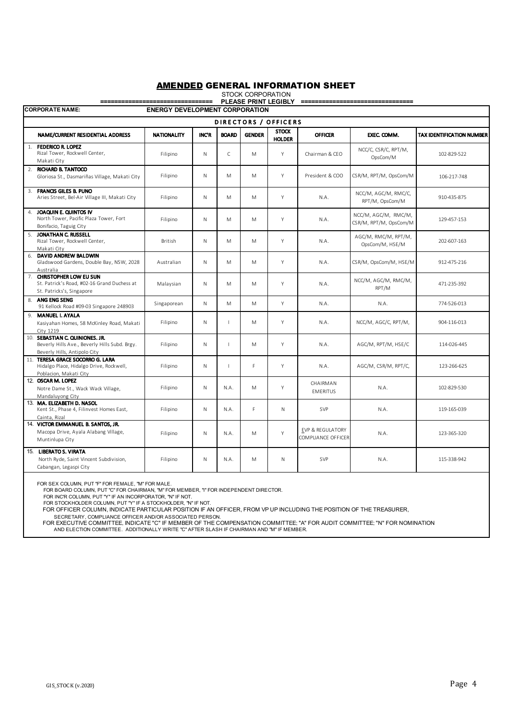|                      | יוטוואט זעטע טענט<br>PLEASE PRINT LEGIBLY<br>============                                                        |                    |             |              |               |                               |                                        |                                                |                           |  |  |
|----------------------|------------------------------------------------------------------------------------------------------------------|--------------------|-------------|--------------|---------------|-------------------------------|----------------------------------------|------------------------------------------------|---------------------------|--|--|
|                      | <b>CORPORATE NAME:</b><br><b>ENERGY DEVELOPMENT CORPORATION</b>                                                  |                    |             |              |               |                               |                                        |                                                |                           |  |  |
| DIRECTORS / OFFICERS |                                                                                                                  |                    |             |              |               |                               |                                        |                                                |                           |  |  |
|                      | NAME/CURRENT RESIDENTIAL ADDRESS                                                                                 | <b>NATIONALITY</b> | <b>INCR</b> | <b>BOARD</b> | <b>GENDER</b> | <b>STOCK</b><br><b>HOLDER</b> | <b>OFFICER</b>                         | EXEC. COMM.                                    | TAX IDENTIFICATION NUMBER |  |  |
|                      | 1. FEDERICO R. LOPEZ<br>Rizal Tower, Rockwell Center,<br>Makati City                                             | Filipino           | N           | C            | Μ             | Υ                             | Chairman & CEO                         | NCC/C, CSR/C, RPT/M,<br>OpsCom/M               | 102-829-522               |  |  |
|                      | 2. RICHARD B. TANTOCO<br>Gloriosa St., Dasmariñas Village, Makati City                                           | Filipino           | N           | M            | M             | Y                             | President & COO                        | CSR/M, RPT/M, OpsCom/M                         | 106-217-748               |  |  |
|                      | 3. FRANCIS GILES B. PUNO<br>Aries Street, Bel-Air Village III, Makati City                                       | Filipino           | N           | M            | M             | Y                             | N.A.                                   | NCC/M, AGC/M, RMC/C,<br>RPT/M, OpsCom/M        | 910-435-875               |  |  |
|                      | 4. JOAQUIN E. QUINTOS IV<br>North Tower, Pacific Plaza Tower, Fort<br>Bonifacio, Taguig City                     | Filipino           | N           | M            | M             | Y                             | N.A.                                   | NCC/M, AGC/M, RMC/M,<br>CSR/M, RPT/M, OpsCom/M | 129-457-153               |  |  |
| 5.                   | JONATHAN C. RUSSELL<br>Rizal Tower, Rockwell Center,<br>Makati City                                              | British            | N           | M            | M             | Y                             | N.A.                                   | AGC/M, RMC/M, RPT/M,<br>OpsCom/M, HSE/M        | 202-607-163               |  |  |
| 6.                   | DAVID ANDREW BALDWIN<br>Gladswood Gardens, Double Bay, NSW, 2028<br>Australia                                    | Australian         | N           | M            | Μ             | Y                             | N.A.                                   | CSR/M, OpsCom/M, HSE/M                         | 912-475-216               |  |  |
|                      | 7. CHRISTOPHER LOW EU SUN<br>St. Patrick's Road, #02-16 Grand Duchess at<br>St. Patricks's, Singapore            | Malaysian          | N           | M            | M             | Y                             | N.A.                                   | NCC/M, AGC/M, RMC/M,<br>RPT/M                  | 471-235-392               |  |  |
|                      | 8. ANG ENG SENG<br>91 Kellock Road #09-03 Singapore 248903                                                       | Singaporean        | N           | M            | M             | Y                             | N.A.                                   | N.A.                                           | 774-526-013               |  |  |
| 9.                   | <b>MANUEL I. AYALA</b><br>Kasiyahan Homes, 58 McKinley Road, Makati<br>City 1219                                 | Filipino           | N           | т            | Μ             | Y                             | N.A.                                   | NCC/M, AGC/C, RPT/M,                           | 904-116-013               |  |  |
|                      | 10. SEBASTIAN C. QUINIONES, JR.<br>Beverly Hills Ave., Beverly Hills Subd. Brgy.<br>Beverly Hills, Antipolo City | Filipino           | N           |              | Μ             | Y                             | N.A.                                   | AGC/M, RPT/M, HSE/C                            | 114-026-445               |  |  |
|                      | 11. TERESA GRACE SOCORRO G. LARA<br>Hidalgo Place, Hidalgo Drive, Rockwell,<br>Poblacion, Makati City            | Filipino           | N           | $\mathbf{I}$ | F.            | Y                             | N.A.                                   | AGC/M, CSR/M, RPT/C,                           | 123-266-625               |  |  |
|                      | 12. OSCAR M. LOPEZ<br>Notre Dame St., Wack Wack Village,<br>Mandaluyong City                                     | Filipino           | N           | N.A.         | Μ             | Y                             | CHAIRMAN<br><b>EMERITUS</b>            | N.A.                                           | 102-829-530               |  |  |
|                      | 13. MA. ELIZABETH D. NASOL<br>Kent St., Phase 4, Filinvest Homes East,<br>Cainta, Rizal                          | Filipino           | N           | N.A.         | F.            | N                             | <b>SVP</b>                             | N.A.                                           | 119-165-039               |  |  |
|                      | 14. VICTOR EMMANUEL B. SANTOS, JR.<br>Macopa Drive, Ayala Alabang Village,<br>Muntinlupa City                    | Filipino           | N           | N.A.         | M             | Y                             | EVP & REGULATORY<br>COMPLIANCE OFFICER | N.A.                                           | 123-365-320               |  |  |
|                      | 15. LIBERATO S. VIRATA<br>North Ryde, Saint Vincent Subdivision,<br>Cabangan, Legaspi City                       | Filipino           | N           | N.A.         | M             | N                             | SVP                                    | N.A.                                           | 115-338-942               |  |  |

FOR SEX COLUMN, PUT "F" FOR FEMALE, "M" FOR MALE.

FOR BOARD COLUMN, PUT "C" FOR CHAIRMAN, "M" FOR MEMBER, "I" FOR INDEPENDENT DIRECTOR.

FOR INC'R COLUMN, PUT "Y" IF AN INCORPORATOR, "N" IF NOT. FOR STOCKHOLDER COLUMN, PUT "Y" IF A STOCKHOLDER, "N" IF NOT.

FOR OFFICER COLUMN, INDICATE PARTICULAR POSITION IF AN OFFICER, FROM VP UP INCLUDING THE POSITION OF THE TREASURER,

SECRETARY, COMPLIANCE OFFICER AND/OR ASSOCIATED PERSON.<br>FOR EXECUTIVE COMMITTEE, INDICATE "C" IF MEMBER OF THE COMPENSATION COMMITTEE: "A" FOR AUDIT COMMITTEE: "N" FOR NOMINATION<br>AND ELECTION COMMITTEE. ADDITIONALLY WRITE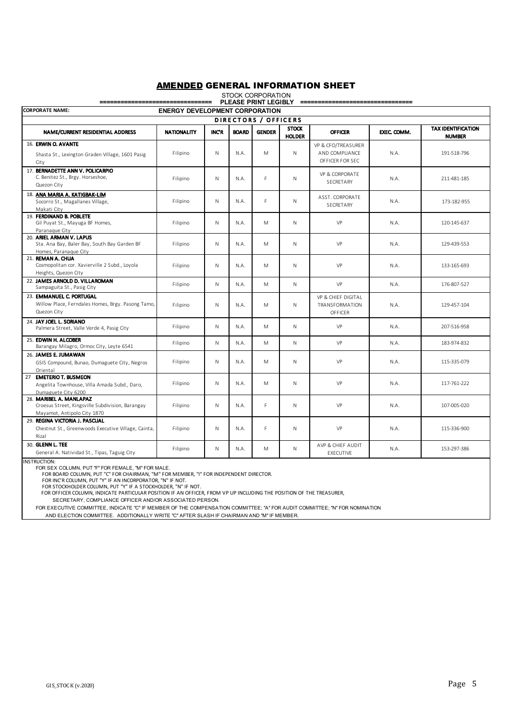| PLEASE PRINT LEGIBLY =============                                                                         |             |             |              |               |                               |                                                          |             |                                            |  |
|------------------------------------------------------------------------------------------------------------|-------------|-------------|--------------|---------------|-------------------------------|----------------------------------------------------------|-------------|--------------------------------------------|--|
| <b>CORPORATE NAME:</b><br><b>ENERGY DEVELOPMENT CORPORATION</b>                                            |             |             |              |               |                               |                                                          |             |                                            |  |
| DIRECTORS / OFFICERS                                                                                       |             |             |              |               |                               |                                                          |             |                                            |  |
| NAME/CURRENT RESIDENTIAL ADDRESS                                                                           | NATIONALITY | <b>INCR</b> | <b>BOARD</b> | <b>GENDER</b> | <b>STOCK</b><br><b>HOLDER</b> | <b>OFFICER</b>                                           | EXEC. COMM. | <b>TAX IDENTIFICATION</b><br><b>NUMBER</b> |  |
| 16. ERWIN O. AVANTE<br>Shasta St., Lexington Graden Village, 1601 Pasig<br>City                            | Filipino    | N           | N.A.         | M             | $\mathsf{N}$                  | VP & CFO/TREASURER<br>AND COMPLIANCE<br>OFFICER FOR SEC. | N.A.        | 191-518-796                                |  |
| 17. BERNADETTE ANN V. POLICARPIO<br>C. Benitez St., Brgy. Horseshoe,<br>Quezon City                        | Filipino    | N           | N.A.         | F             | $\mathsf{N}$                  | VP & CORPORATE<br>SECRETARY                              | N.A.        | 211-481-185                                |  |
| 18. ANA MARIA A. KATIGBAK-LIM<br>Socorro St., Magallanes Village,<br>Makati City                           | Filipino    | N           | N.A.         | F             | $\mathsf{N}$                  | ASST. CORPORATE<br>SECRETARY                             | N.A.        | 173-182-955                                |  |
| 19. FERDINAND B. POBLETE<br>Gil Puyat St., Mayuga BF Homes,<br>Paranague City                              | Filipino    | N           | N.A.         | M             | $\mathsf{N}$                  | VP                                                       | N.A.        | 120-145-637                                |  |
| 20. ARIEL ARMAN V. LAPUS<br>Sta. Ana Bay, Baler Bay, South Bay Garden BF<br>Homes, Paranague City          | Filipino    | N           | N.A.         | M             | $\mathsf{N}$                  | VP                                                       | N.A.        | 129-439-553                                |  |
| 21. REMAN A. CHUA<br>Cosmopolitan cor. Xavierville 2 Subd., Loyola<br>Heights, Quezon City                 | Filipino    | N           | N.A.         | M             | $\mathsf{N}$                  | VP                                                       | N.A.        | 133-165-693                                |  |
| 22. JAMES ARNOLD D. VILLAROMAN<br>Sampaguita St., Pasig City                                               | Filipino    | N           | N.A.         | M             | $\mathsf{N}$                  | VP                                                       | N.A.        | 176-807-527                                |  |
| 23. EMMANUEL C. PORTUGAL<br>Willow Place, Ferndales Homes, Brgy. Pasong Tamo,<br>Quezon City               | Filipino    | N           | N.A.         | M             | N                             | VP & CHIEF DIGITAL<br>TRANSFORMATION<br>OFFICER          | N.A.        | 129-457-104                                |  |
| 24. JAY JOEL L. SORIANO<br>Palmera Street, Valle Verde 4, Pasig City                                       | Filipino    | N           | N.A.         | M             | $\mathsf{N}$                  | VP                                                       | N.A.        | 207-516-958                                |  |
| 25. EDWIN H. ALCOBER<br>Barangay Milagro, Ormoc City, Leyte 6541                                           | Filipino    | N           | N.A.         | M             | $\mathsf{N}$                  | VP                                                       | N.A.        | 183-974-832                                |  |
| 26. JAMES E. JUMAWAN<br>GSIS Compound, Bunao, Dumaguete City, Negros<br>Oriental                           | Filipino    | N           | N.A.         | M             | $\mathsf{N}$                  | VP                                                       | N.A.        | 115-335-079                                |  |
| 27 EMETERIO T. BUSMEON<br>Angelita Townhouse, Villa Amada Subd., Daro,<br>Dumaguete City 6200              | Filipino    | N           | N.A.         | M             | $\mathsf{N}$                  | VP                                                       | N.A.        | 117-761-222                                |  |
| 28. MARIBEL A. MANLAPAZ<br>Croesus Street, Kingsville Subdivision, Barangay<br>Mayamot, Antipolo City 1870 | Filipino    | N           | N.A.         | F             | N                             | VP                                                       | N.A.        | 107-005-020                                |  |
| 29. REGINA VICTORIA J. PASCUAL<br>Chestnut St., Greenwoods Executive Village, Cainta,<br>Rizal             | Filipino    | N           | N.A.         | F             | $\mathsf{N}$                  | VP                                                       | N.A.        | 115-336-900                                |  |
| 30. GLENN L. TEE<br>General A. Natividad St., Tipas, Taguig City                                           | Filipino    | N           | N.A.         | M             | N                             | AVP & CHIEF AUDIT<br>EXECUTIVE                           | N.A.        | 153-297-386                                |  |

# STOCK CORPORATION

NSTRUCTION:

FOR SEX COLUMN, PUT "F" FOR FEMALE, "M" FOR MALE.<br>FOR BOARD COLUMN, PUT "'C" FOR CHAIRMAN, "M" FOR MEMBER, "I" FOR INDEPENDENT DIRECTOR.<br>FOR INC'R COLUMN, PUT "Y" IF AN INCORPORATOR, "N" IF NOT.<br>FOR STOCKHOLDER COLUMN, PUT

SECRETARY, COMPLIANCE OFFICER AND/OR ASSOCIATED PERSON.

FOR EXECUTIVE COMMITTEE, INDICATE "C" IF MEMBER OF THE COMPENSATION COMMITTEE; "A" FOR AUDIT COMMITTEE; "N" FOR NOMINATION

AND ELECTION COMMITTEE. ADDITIONALLY WRITE "C" AFTER SLASH IF CHAIRMAN AND "M" IF MEMBER.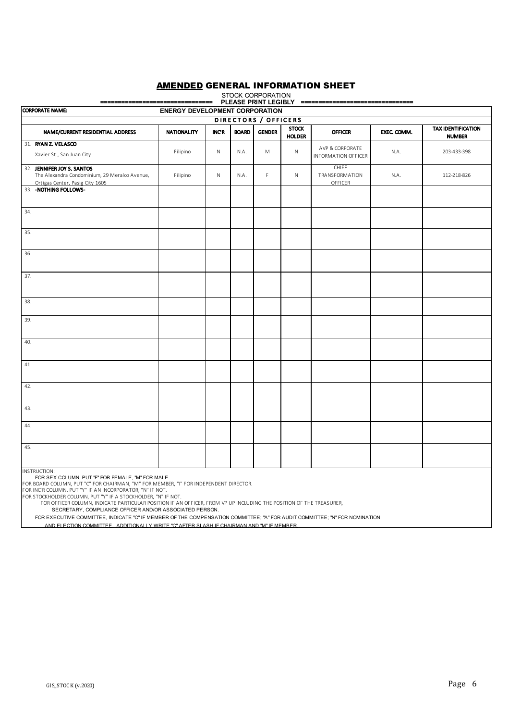### AMENDED GENERAL INFORMATION SHEET STOCK CORPORATION

| ==================================<br>PLEASE PRINT LEGIBLY ================================                                                                                                                                                                                                                                                                                                                           |                    |       |              |               |                               |                                               |             |                                            |  |
|-----------------------------------------------------------------------------------------------------------------------------------------------------------------------------------------------------------------------------------------------------------------------------------------------------------------------------------------------------------------------------------------------------------------------|--------------------|-------|--------------|---------------|-------------------------------|-----------------------------------------------|-------------|--------------------------------------------|--|
| <b>CORPORATE NAME:</b><br><b>ENERGY DEVELOPMENT CORPORATION</b>                                                                                                                                                                                                                                                                                                                                                       |                    |       |              |               |                               |                                               |             |                                            |  |
| DIRECTORS / OFFICERS                                                                                                                                                                                                                                                                                                                                                                                                  |                    |       |              |               |                               |                                               |             |                                            |  |
| NAME/CURRENT RESIDENTIAL ADDRESS                                                                                                                                                                                                                                                                                                                                                                                      | <b>NATIONALITY</b> | INC'R | <b>BOARD</b> | <b>GENDER</b> | <b>STOCK</b><br><b>HOLDER</b> | <b>OFFICER</b>                                | EXEC. COMM. | <b>TAX IDENTIFICATION</b><br><b>NUMBER</b> |  |
| 31. RYAN Z. VELASCO<br>Xavier St., San Juan City                                                                                                                                                                                                                                                                                                                                                                      | Filipino           | N     | N.A.         | M             | $\mathsf{N}$                  | AVP & CORPORATE<br><b>INFORMATION OFFICER</b> | N.A.        | 203-433-398                                |  |
| 32. JENNIFER JOY S. SANTOS<br>The Alexandra Condominium, 29 Meralco Avenue,<br>Ortigas Center, Pasig City 1605                                                                                                                                                                                                                                                                                                        | Filipino           | N     | N.A.         | $\mathsf F$   | $\mathsf{N}$                  | <b>CHIEF</b><br>TRANSFORMATION<br>OFFICER     | N.A.        | 112-218-826                                |  |
| 33. - NOTHING FOLLOWS-                                                                                                                                                                                                                                                                                                                                                                                                |                    |       |              |               |                               |                                               |             |                                            |  |
| 34.                                                                                                                                                                                                                                                                                                                                                                                                                   |                    |       |              |               |                               |                                               |             |                                            |  |
| 35.                                                                                                                                                                                                                                                                                                                                                                                                                   |                    |       |              |               |                               |                                               |             |                                            |  |
| 36.                                                                                                                                                                                                                                                                                                                                                                                                                   |                    |       |              |               |                               |                                               |             |                                            |  |
| 37.                                                                                                                                                                                                                                                                                                                                                                                                                   |                    |       |              |               |                               |                                               |             |                                            |  |
| 38.                                                                                                                                                                                                                                                                                                                                                                                                                   |                    |       |              |               |                               |                                               |             |                                            |  |
| 39.                                                                                                                                                                                                                                                                                                                                                                                                                   |                    |       |              |               |                               |                                               |             |                                            |  |
| 40.                                                                                                                                                                                                                                                                                                                                                                                                                   |                    |       |              |               |                               |                                               |             |                                            |  |
| 41                                                                                                                                                                                                                                                                                                                                                                                                                    |                    |       |              |               |                               |                                               |             |                                            |  |
| 42.                                                                                                                                                                                                                                                                                                                                                                                                                   |                    |       |              |               |                               |                                               |             |                                            |  |
| 43.                                                                                                                                                                                                                                                                                                                                                                                                                   |                    |       |              |               |                               |                                               |             |                                            |  |
| 44.                                                                                                                                                                                                                                                                                                                                                                                                                   |                    |       |              |               |                               |                                               |             |                                            |  |
| 45.                                                                                                                                                                                                                                                                                                                                                                                                                   |                    |       |              |               |                               |                                               |             |                                            |  |
| <b>INSTRUCTION:</b><br>FOR SEX COLUMN, PUT "F" FOR FEMALE, "M" FOR MALE.<br>FOR BOARD COLUMN, PUT "C" FOR CHAIRMAN, "M" FOR MEMBER, "I" FOR INDEPENDENT DIRECTOR.<br>FOR INC'R COLUMN, PUT "Y" IF AN INCORPORATOR, "N" IF NOT.<br>FOR STOCKHOLDER COLUMN, PUT "Y" IF A STOCKHOLDER, "N" IF NOT.<br>EOR OFFICER COLUMN, INDICATE PARTICULAR POSITION IF AN OFFICER, FROM VP UP INCLUDING THE POSITION OF THE TREASURER |                    |       |              |               |                               |                                               |             |                                            |  |

FOR OFFICER COLUMN, INDICATE PARTICULAR POSITION IF AN OFFICER, FROM VP UP INCLUDING THE POSITION OF THE TREASURER, SECRETARY, COMPLIANCE OFFICER AND/OR ASSOCIATED PERSON.

FOR EXECUTIVE COMMITTEE, INDICATE "C" IF MEMBER OF THE COMPENSATION COMMITTEE; "A" FOR AUDIT COMMITTEE; "N" FOR NOMINATION

AND ELECTION COMMITTEE. ADDITIONALLY WRITE "C" AFTER SLASH IF CHAIRMAN AND "M" IF MEMBER.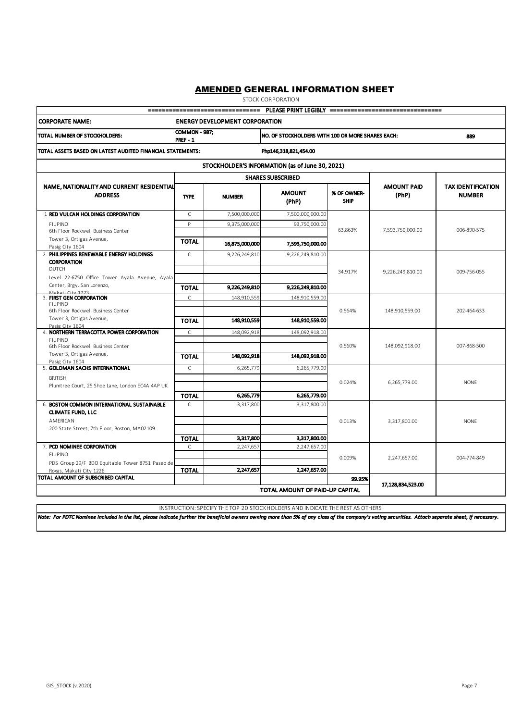STOCK CORPORATION

| PLEASE PRINT LEGIBLY ==================================<br>--------------------------------                          |                                         |                |                                                 |                            |                                                          |                                            |  |  |  |  |
|----------------------------------------------------------------------------------------------------------------------|-----------------------------------------|----------------|-------------------------------------------------|----------------------------|----------------------------------------------------------|--------------------------------------------|--|--|--|--|
| <b>CORPORATE NAME:</b><br><b>ENERGY DEVELOPMENT CORPORATION</b>                                                      |                                         |                |                                                 |                            |                                                          |                                            |  |  |  |  |
| TOTAL NUMBER OF STOCKHOLDERS:                                                                                        | <b>COMMON - 987:</b><br><b>PREF - 1</b> |                |                                                 |                            | NO. OF STOCKHOLDERS WITH 100 OR MORE SHARES EACH:<br>889 |                                            |  |  |  |  |
| TOTAL ASSETS BASED ON LATEST AUDITED FINANCIAL STATEMENTS:<br>Php146,318,821,454.00                                  |                                         |                |                                                 |                            |                                                          |                                            |  |  |  |  |
|                                                                                                                      |                                         |                | STOCKHOLDER'S INFORMATION (as of June 30, 2021) |                            |                                                          |                                            |  |  |  |  |
|                                                                                                                      |                                         |                | <b>SHARES SUBSCRIBED</b>                        |                            |                                                          |                                            |  |  |  |  |
| NAME, NATIONALITY AND CURRENT RESIDENTIAL<br><b>ADDRESS</b>                                                          | <b>TYPE</b>                             | <b>NUMBER</b>  | <b>AMOUNT</b><br>(PhP)                          | % OF OWNER-<br><b>SHIP</b> | <b>AMOUNT PAID</b><br>(PhP)                              | <b>TAX IDENTIFICATION</b><br><b>NUMBER</b> |  |  |  |  |
| 1 RED VULCAN HOLDINGS CORPORATION                                                                                    | $\mathsf{C}$                            | 7,500,000,000  | 7,500,000,000.00                                |                            |                                                          |                                            |  |  |  |  |
| <b>FILIPINO</b><br>6th Floor Rockwell Business Center                                                                | P                                       | 9,375,000,000  | 93,750,000.00                                   | 63.863%                    | 7,593,750,000.00                                         | 006-890-575                                |  |  |  |  |
| Tower 3, Ortigas Avenue,<br>Pasig City 1604                                                                          | <b>TOTAL</b>                            | 16,875,000,000 | 7,593,750,000.00                                |                            |                                                          |                                            |  |  |  |  |
| 2. PHILIPPINES RENEWABLE ENERGY HOLDINGS<br><b>CORPORATION</b><br><b>DUTCH</b>                                       | $\mathsf{C}$                            | 9,226,249,810  | 9,226,249,810.00                                |                            |                                                          |                                            |  |  |  |  |
| Level 22-6750 Office Tower Ayala Avenue, Ayala                                                                       |                                         |                |                                                 | 34.917%                    | 9,226,249,810.00                                         | 009-756-055                                |  |  |  |  |
| Center, Brgy. San Lorenzo,                                                                                           | <b>TOTAL</b>                            | 9,226,249,810  | 9,226,249,810.00                                |                            |                                                          |                                            |  |  |  |  |
| 3. FIRST GEN CORPORATION<br><b>FILIPINO</b><br>6th Floor Rockwell Business Center                                    | $\sqrt{ }$                              | 148.910.559    | 148.910.559.00                                  | 0.564%                     | 148,910,559.00                                           | 202-464-633                                |  |  |  |  |
| Tower 3, Ortigas Avenue,                                                                                             | <b>TOTAL</b>                            | 148,910,559    | 148,910,559.00                                  |                            |                                                          |                                            |  |  |  |  |
| Pasig City 1604<br>4. NORTHERN TERRACOTTA POWER CORPORATION<br><b>FILIPINO</b><br>6th Floor Rockwell Business Center | $\mathsf C$                             | 148,092,918    | 148,092,918.00                                  | 0.560%                     | 148,092,918.00                                           | 007-868-500                                |  |  |  |  |
| Tower 3, Ortigas Avenue,<br>Pasig City 1604                                                                          | <b>TOTAL</b>                            | 148,092,918    | 148,092,918.00                                  |                            |                                                          |                                            |  |  |  |  |
| 5. GOLDMAN SACHS INTERNATIONAL<br><b>BRITISH</b><br>Plumtree Court, 25 Shoe Lane, London EC4A 4AP UK                 | $\mathsf C$                             | 6,265,779      | 6,265,779.00                                    | 0.024%                     | 6,265,779.00                                             | <b>NONE</b>                                |  |  |  |  |
|                                                                                                                      | <b>TOTAL</b>                            | 6,265,779      | 6,265,779.00                                    |                            |                                                          |                                            |  |  |  |  |
| 6. BOSTON COMMON INTERNATIONAL SUSTAINABLE<br><b>CLIMATE FUND, LLC</b>                                               | $\mathcal{C}$                           | 3,317,800      | 3,317,800.00                                    |                            |                                                          |                                            |  |  |  |  |
| AMERICAN<br>200 State Street, 7th Floor, Boston, MA02109                                                             |                                         |                |                                                 | 0.013%                     | 3,317,800.00                                             | <b>NONE</b>                                |  |  |  |  |
|                                                                                                                      | <b>TOTAL</b>                            | 3,317,800      | 3,317,800.00                                    |                            |                                                          |                                            |  |  |  |  |
| 7. PCD NOMINEE CORPORATION<br><b>FILIPINO</b><br>PDS Group 29/F BDO Equitable Tower 8751 Paseo de                    | $\mathsf C$                             | 2,247,657      | 2,247,657.00                                    | 0.009%                     | 2,247,657.00                                             | 004-774-849                                |  |  |  |  |
| Roxas, Makati City 1226                                                                                              | <b>TOTAL</b>                            | 2,247,657      | 2.247.657.00                                    |                            |                                                          |                                            |  |  |  |  |
| TOTAL AMOUNT OF SUBSCRIBED CAPITAL                                                                                   |                                         |                | 99.95%<br>17,128,834,523.00                     |                            |                                                          |                                            |  |  |  |  |
|                                                                                                                      | TOTAL AMOUNT OF PAID-UP CAPITAL         |                |                                                 |                            |                                                          |                                            |  |  |  |  |

INSTRUCTION: SPECIFY THE TOP 20 STOCKHOLDERS AND INDICATE THE REST AS OTHERS

*Note: For PDTC Nominee included in the list, please indicate further the beneficial owners owning more than 5% of any class of the company's voting securities. Attach separate sheet, if necessary.*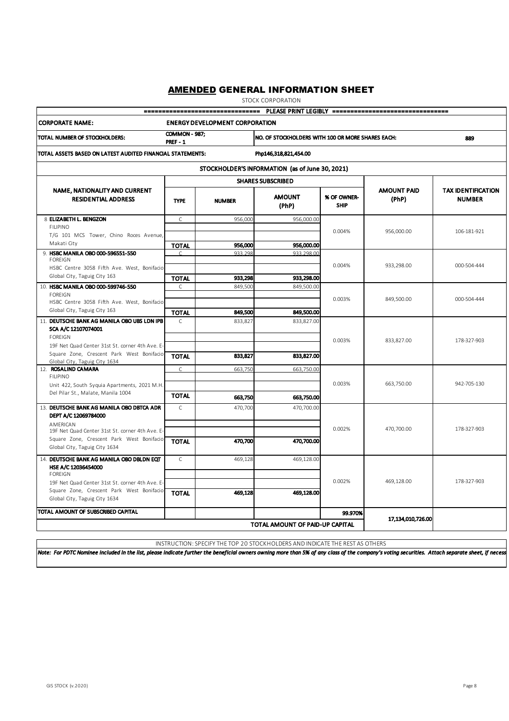STOCK CORPORATION

|                                                                                                          |                                            | -------------------------------- |                                                          |                            | PLEASE PRINT LEGIBLY ================================== |                                            |  |  |
|----------------------------------------------------------------------------------------------------------|--------------------------------------------|----------------------------------|----------------------------------------------------------|----------------------------|---------------------------------------------------------|--------------------------------------------|--|--|
| <b>CORPORATE NAME:</b><br><b>ENERGY DEVELOPMENT CORPORATION</b>                                          |                                            |                                  |                                                          |                            |                                                         |                                            |  |  |
| TOTAL NUMBER OF STOCKHOLDERS:                                                                            | <b>COMMON - 987;</b><br>PREF-1             |                                  | NO. OF STOCKHOLDERS WITH 100 OR MORE SHARES EACH:<br>889 |                            |                                                         |                                            |  |  |
| TOTAL ASSETS BASED ON LATEST AUDITED FINANCIAL STATEMENTS:                                               |                                            |                                  |                                                          |                            |                                                         |                                            |  |  |
|                                                                                                          |                                            |                                  | STOCKHOLDER'S INFORMATION (as of June 30, 2021)          |                            |                                                         |                                            |  |  |
|                                                                                                          |                                            |                                  | <b>SHARES SUBSCRIBED</b>                                 |                            |                                                         |                                            |  |  |
| NAME, NATIONALITY AND CURRENT<br><b>RESIDENTIAL ADDRESS</b>                                              | <b>TYPE</b>                                | <b>NUMBER</b>                    | <b>AMOUNT</b><br>(PhP)                                   | % OF OWNER-<br><b>SHIP</b> | <b>AMOUNT PAID</b><br>(PhP)                             | <b>TAX IDENTIFICATION</b><br><b>NUMBER</b> |  |  |
| 8 ELIZABETH L. BENGZON                                                                                   | $\mathsf C$                                | 956,000                          | 956,000.00                                               |                            |                                                         |                                            |  |  |
| <b>FILIPINO</b><br>T/G 101 MCS Tower, Chino Roces Avenue,<br>Makati City                                 | <b>TOTAL</b>                               | 956,000                          | 956,000.00                                               | 0.004%                     | 956,000.00                                              | 106-181-921                                |  |  |
| 9. HSBC MANILA OBO 000-596551-550<br><b>FOREIGN</b>                                                      |                                            | 933.298                          | 933.298.00                                               |                            |                                                         |                                            |  |  |
| HSBC Centre 3058 Fifth Ave. West, Bonifacio<br>Global City, Taguig City 163                              | <b>TOTAL</b>                               | 933,298                          | 933,298.00                                               | 0.004%                     | 933,298.00                                              | 000-504-444                                |  |  |
| 10. HSBC MANILA OBO 000-599746-550<br><b>FOREIGN</b><br>HSBC Centre 3058 Fifth Ave. West, Bonifacio      | $\mathsf{C}$                               | 849,500                          | 849,500.00                                               | 0.003%                     | 849,500.00                                              | 000-504-444                                |  |  |
| Global City, Taguig City 163                                                                             | <b>TOTAL</b>                               | 849,500                          | 849,500.00                                               |                            |                                                         |                                            |  |  |
| 11. DEUTSCHE BANK AG MANILA OBO UBS LDN IPB<br>SCA A/C 12107074001                                       | C                                          | 833,827                          | 833,827.00                                               |                            |                                                         |                                            |  |  |
| <b>FOREIGN</b><br>19F Net Quad Center 31st St. corner 4th Ave. E-                                        |                                            |                                  |                                                          | 0.003%                     | 833,827.00                                              | 178-327-903                                |  |  |
| Square Zone, Crescent Park West Bonifacio<br>Global City, Taguig City 1634                               | <b>TOTAL</b>                               | 833,827                          | 833,827.00                                               |                            |                                                         |                                            |  |  |
| 12. ROSALIND CAMARA<br><b>FILIPINO</b>                                                                   | C.                                         | 663.750                          | 663.750.00                                               | 0.003%                     | 663,750.00                                              | 942-705-130                                |  |  |
| Unit 422, South Syquia Apartments, 2021 M.H.<br>Del Pilar St., Malate, Manila 1004                       | <b>TOTAL</b>                               | 663,750                          | 663,750.00                                               |                            |                                                         |                                            |  |  |
| 13. DEUTSCHE BANK AG MANILA OBO DBTCA ADR<br>DEPT A/C 12069784000                                        | $\mathsf{C}$                               | 470,700                          | 470,700.00                                               |                            |                                                         |                                            |  |  |
| AMERICAN<br>19F Net Quad Center 31st St. corner 4th Ave. E-<br>Square Zone, Crescent Park West Bonifacio |                                            |                                  |                                                          | 0.002%                     | 470,700.00                                              | 178-327-903                                |  |  |
| Global City, Taguig City 1634                                                                            | <b>TOTAL</b>                               | 470,700                          | 470,700.00                                               |                            |                                                         |                                            |  |  |
| 14. DEUTSCHE BANK AG MANILA OBO DBLDN EQT<br>HSE A/C 12036454000<br><b>FOREIGN</b>                       | $\mathsf{C}$                               | 469,128                          | 469,128.00                                               |                            |                                                         |                                            |  |  |
| 19F Net Quad Center 31st St. corner 4th Ave. E-<br>Square Zone, Crescent Park West Bonifacio             | TOTAL                                      | 469,128                          | 469,128.00                                               | 0.002%                     | 469,128.00                                              | 178-327-903                                |  |  |
| Global City, Taguig City 1634                                                                            |                                            |                                  |                                                          |                            |                                                         |                                            |  |  |
| <b>ITOTAL AMOUNT OF SUBSCRIBED CAPITAL</b>                                                               | 99.970%<br>TOTAL AMOUNT OF PAID-UP CAPITAL | 17,134,010,726.00                |                                                          |                            |                                                         |                                            |  |  |
|                                                                                                          |                                            |                                  |                                                          |                            |                                                         |                                            |  |  |

INSTRUCTION: SPECIFY THE TOP 20 STOCKHOLDERS AND INDICATE THE REST AS OTHERS

*Note: For PDTC Nominee included in the list, please indicate further the beneficial owners owning more than 5% of any class of the company's voting securities. Attach separate sheet, if necessary.*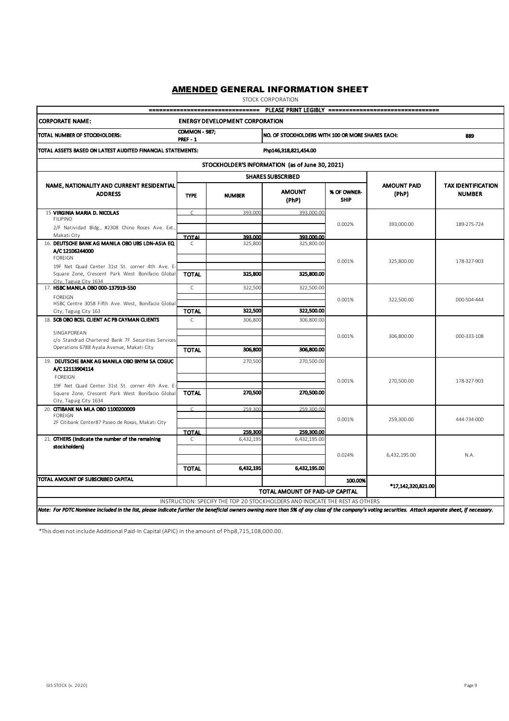STOCK CORPORATION

|                                                                                                                                                                                                                                                                                      |                                         | -------------------------------- |                                                   |                            | PLEASE PRINT LEGIBLY ================================== |                                            |  |  |  |  |
|--------------------------------------------------------------------------------------------------------------------------------------------------------------------------------------------------------------------------------------------------------------------------------------|-----------------------------------------|----------------------------------|---------------------------------------------------|----------------------------|---------------------------------------------------------|--------------------------------------------|--|--|--|--|
| <b>CORPORATE NAME:</b><br><b>ENERGY DEVELOPMENT CORPORATION</b>                                                                                                                                                                                                                      |                                         |                                  |                                                   |                            |                                                         |                                            |  |  |  |  |
| TOTAL NUMBER OF STOCKHOLDERS:                                                                                                                                                                                                                                                        | <b>COMMON - 987:</b><br><b>PREF - 1</b> |                                  | NO. OF STOCKHOLDERS WITH 100 OR MORE SHARES EACH: | 889                        |                                                         |                                            |  |  |  |  |
| TOTAL ASSETS BASED ON LATEST AUDITED FINANCIAL STATEMENTS:                                                                                                                                                                                                                           |                                         |                                  | Php146,318,821,454.00                             |                            |                                                         |                                            |  |  |  |  |
| STOCKHOLDER'S INFORMATION (as of June 30, 2021)                                                                                                                                                                                                                                      |                                         |                                  |                                                   |                            |                                                         |                                            |  |  |  |  |
|                                                                                                                                                                                                                                                                                      |                                         |                                  | <b>SHARES SUBSCRIBED</b>                          |                            |                                                         |                                            |  |  |  |  |
| NAME, NATIONALITY AND CURRENT RESIDENTIAL<br><b>ADDRESS</b>                                                                                                                                                                                                                          | <b>TYPE</b>                             | <b>NUMBER</b>                    | <b>AMOUNT</b><br>(PhP)                            | % OF OWNER-<br><b>SHIP</b> | <b>AMOUNT PAID</b><br>(PhP)                             | <b>TAX IDENTIFICATION</b><br><b>NUMBER</b> |  |  |  |  |
| 15 VIRGINIA MARIA D. NICOLAS<br><b>FILIPINO</b>                                                                                                                                                                                                                                      | $\mathsf{C}$                            | 393.000                          | 393,000.00                                        | 0.002%                     | 393,000.00                                              | 189-275-724                                |  |  |  |  |
| 2/F Natividad Bldg., #2308 Chino Roces Ave. Ext.,<br>Makati City                                                                                                                                                                                                                     |                                         |                                  |                                                   |                            |                                                         |                                            |  |  |  |  |
| 16. DEUTSCHE BANK AG MANILA OBO UBS LDN-ASIA EQ<br>A/C 12106244000<br><b>FOREIGN</b>                                                                                                                                                                                                 | <b>TOTAL</b><br>C                       | 393.000<br>325,800               | 393,000.00<br>325,800.00                          | 0.001%                     | 325,800.00                                              | 178-327-903                                |  |  |  |  |
| 19F Net Quad Center 31st St. corner 4th Ave. E-<br>Square Zone, Crescent Park West Bonifacio Global<br>City, Taguig City 1634                                                                                                                                                        | <b>TOTAL</b>                            | 325,800                          | 325,800.00                                        |                            |                                                         |                                            |  |  |  |  |
| 17. HSBC MANILA OBO 000-137919-550                                                                                                                                                                                                                                                   | $\mathsf{C}$                            | 322,500                          | 322,500.00                                        |                            |                                                         |                                            |  |  |  |  |
| <b>FOREIGN</b><br>HSBC Centre 3058 Fifth Ave. West, Bonifacio Global                                                                                                                                                                                                                 |                                         |                                  |                                                   | 0.001%                     | 322,500.00                                              | 000-504-444                                |  |  |  |  |
| City, Taguig City 163                                                                                                                                                                                                                                                                | <b>TOTAL</b>                            | 322,500                          | 322,500.00                                        |                            |                                                         |                                            |  |  |  |  |
| 18. SCB OBO BCSL CLIENT AC PB CAYMAN CLIENTS<br>SINGAPOREAN<br>c/o Standrad Chartered Bank 7F Securities Services<br>Operations 6788 Ayala Avenue, Makati City                                                                                                                       | $\mathsf{C}$<br><b>TOTAL</b>            | 306,800<br>306,800               | 306,800.00<br>306,800.00                          | 0.001%                     | 306,800.00                                              | 000-333-108                                |  |  |  |  |
| 19. DEUTSCHE BANK AG MANILA OBO BNYM SA COGUC                                                                                                                                                                                                                                        |                                         | 270,500                          | 270,500.00                                        |                            |                                                         |                                            |  |  |  |  |
| A/C 12113904114<br><b>FOREIGN</b><br>19F Net Quad Center 31st St. corner 4th Ave. E-                                                                                                                                                                                                 |                                         | 270,500                          | 270,500.00                                        | 0.001%                     | 270,500.00                                              | 178-327-903                                |  |  |  |  |
| Square Zone, Crescent Park West Bonifacio Global<br>City, Taguig City 1634                                                                                                                                                                                                           | <b>TOTAL</b>                            |                                  |                                                   |                            |                                                         |                                            |  |  |  |  |
| 20. CITIBANK NA MLA OBO 1100200009<br><b>FOREIGN</b>                                                                                                                                                                                                                                 | $\subset$                               | 259.300                          | 259,300.00                                        |                            |                                                         |                                            |  |  |  |  |
| 2F Citibank Center87 Paseo de Roxas, Makati City                                                                                                                                                                                                                                     |                                         |                                  |                                                   | 0.001%                     | 259,300.00                                              | 444-734-000                                |  |  |  |  |
|                                                                                                                                                                                                                                                                                      | <b>TOTAL</b>                            | 259,300                          | 259,300.00                                        |                            |                                                         |                                            |  |  |  |  |
| 21. OTHERS (Indicate the number of the remaining<br>stockholders)                                                                                                                                                                                                                    | C                                       | 6,432,195                        | 6,432,195.00                                      | 0.024%                     | 6,432,195.00                                            | N.A.                                       |  |  |  |  |
|                                                                                                                                                                                                                                                                                      | <b>TOTAL</b>                            | 6,432,195                        | 6,432,195.00                                      |                            |                                                         |                                            |  |  |  |  |
| TOTAL AMOUNT OF SUBSCRIBED CAPITAL                                                                                                                                                                                                                                                   |                                         |                                  |                                                   | 100.00%                    | *17,142,320,821.00                                      |                                            |  |  |  |  |
| TOTAL AMOUNT OF PAID-UP CAPITAL                                                                                                                                                                                                                                                      |                                         |                                  |                                                   |                            |                                                         |                                            |  |  |  |  |
| INSTRUCTION: SPECIFY THE TOP 20 STOCKHOLDERS AND INDICATE THE REST AS OTHERS<br>Note: For PDTC Nominee included in the list, please indicate further the beneficial owners owning more than 5% of any class of the company's voting securities. Attach separate sheet, if necessary. |                                         |                                  |                                                   |                            |                                                         |                                            |  |  |  |  |
|                                                                                                                                                                                                                                                                                      |                                         |                                  |                                                   |                            |                                                         |                                            |  |  |  |  |

\*This does not include Additional Paid-In Capital (APIC) in the amount of Php8,715,108,000.00.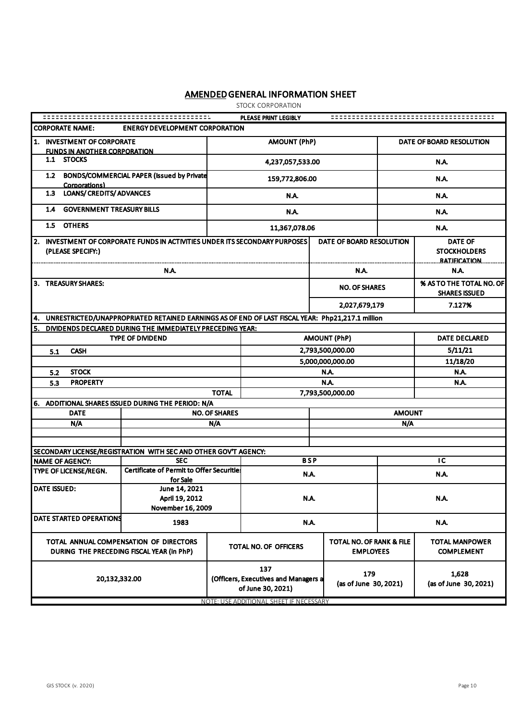STOCK CORPORATION

| PLEASE PRINT LEGIBLY                                                                                |                                                                |                                                                                  |                                                                                                                                             |                          |                                            |                                                              |  |
|-----------------------------------------------------------------------------------------------------|----------------------------------------------------------------|----------------------------------------------------------------------------------|---------------------------------------------------------------------------------------------------------------------------------------------|--------------------------|--------------------------------------------|--------------------------------------------------------------|--|
| <b>CORPORATE NAME:</b><br><b>ENERGY DEVELOPMENT CORPORATION</b>                                     |                                                                |                                                                                  |                                                                                                                                             |                          |                                            |                                                              |  |
| 1. INVESTMENT OF CORPORATE<br><b>FUNDS IN ANOTHER CORPORATION</b>                                   |                                                                |                                                                                  | <b>AMOUNT (PhP)</b><br>DATE OF BOARD RESOLUTION                                                                                             |                          |                                            |                                                              |  |
| 1.1 STOCKS                                                                                          |                                                                |                                                                                  | 4,237,057,533.00                                                                                                                            |                          |                                            | N.A.                                                         |  |
| 1.2<br>Corporations)                                                                                | BONDS/COMMERCIAL PAPER (Issued by Private                      |                                                                                  | 159,772,806.00                                                                                                                              |                          |                                            | N.A.                                                         |  |
| <b>LOANS/ CREDITS/ ADVANCES</b><br>1.3                                                              |                                                                |                                                                                  | N.A.                                                                                                                                        |                          |                                            | N.A.                                                         |  |
| <b>GOVERNMENT TREASURY BILLS</b><br>1.4                                                             |                                                                |                                                                                  | N.A.                                                                                                                                        |                          |                                            | N.A.                                                         |  |
| 1.5 OTHERS                                                                                          |                                                                |                                                                                  | 11,367,078.06                                                                                                                               |                          |                                            | N.A.                                                         |  |
| 2. INVESTMENT OF CORPORATE FUNDS IN ACTIVITIES UNDER ITS SECONDARY PURPOSES<br>(PLEASE SPECIFY:)    |                                                                |                                                                                  |                                                                                                                                             | DATE OF BOARD RESOLUTION |                                            | <b>DATE OF</b><br><b>STOCKHOLDERS</b><br><u>RATJEICATION</u> |  |
|                                                                                                     | N.A.                                                           |                                                                                  |                                                                                                                                             | N.A.                     |                                            | N.A.                                                         |  |
| 3. TREASURY SHARES:                                                                                 |                                                                |                                                                                  |                                                                                                                                             | <b>NO. OF SHARES</b>     |                                            | % AS TO THE TOTAL NO. OF<br><b>SHARES ISSUED</b>             |  |
|                                                                                                     |                                                                |                                                                                  |                                                                                                                                             | 2,027,679,179            |                                            | 7.127%                                                       |  |
| 4. UNRESTRICTED/UNAPPROPRIATED RETAINED EARNINGS AS OF END OF LAST FISCAL YEAR: Php21,217.1 million |                                                                |                                                                                  |                                                                                                                                             |                          |                                            |                                                              |  |
| 5.                                                                                                  | DIVIDENDS DECLARED DURING THE IMMEDIATELY PRECEDING YEAR:      |                                                                                  |                                                                                                                                             |                          |                                            |                                                              |  |
|                                                                                                     | <b>TYPE OF DIVIDEND</b>                                        |                                                                                  | <b>AMOUNT (PhP)</b>                                                                                                                         |                          |                                            | <b>DATE DECLARED</b>                                         |  |
| <b>CASH</b><br>5.1                                                                                  |                                                                |                                                                                  | 2,793,500,000.00                                                                                                                            |                          |                                            | 5/11/21                                                      |  |
|                                                                                                     |                                                                |                                                                                  |                                                                                                                                             | 5,000,000,000.00         |                                            | 11/18/20                                                     |  |
| <b>STOCK</b><br>5.2                                                                                 |                                                                |                                                                                  |                                                                                                                                             | N.A.                     |                                            | N.A.                                                         |  |
| <b>PROPERTY</b><br>5.3                                                                              |                                                                |                                                                                  | N.A.                                                                                                                                        |                          |                                            | N.A.                                                         |  |
|                                                                                                     |                                                                | <b>TOTAL</b>                                                                     |                                                                                                                                             | 7,793,500,000.00         |                                            |                                                              |  |
| 6. ADDITIONAL SHARES ISSUED DURING THE PERIOD: N/A<br><b>DATE</b>                                   |                                                                | <b>NO. OF SHARES</b>                                                             |                                                                                                                                             |                          | <b>AMOUNT</b>                              |                                                              |  |
| N/A                                                                                                 |                                                                | N/A                                                                              |                                                                                                                                             |                          | N/A                                        |                                                              |  |
|                                                                                                     |                                                                |                                                                                  |                                                                                                                                             |                          |                                            |                                                              |  |
|                                                                                                     |                                                                |                                                                                  |                                                                                                                                             |                          |                                            |                                                              |  |
| SECONDARY LICENSE/REGISTRATION WITH SEC AND OTHER GOV'T AGENCY:                                     |                                                                |                                                                                  |                                                                                                                                             |                          |                                            |                                                              |  |
| <b>NAME OF AGENCY:</b>                                                                              | <b>SEC</b><br><b>Certificate of Permit to Offer Securities</b> |                                                                                  | <b>BSP</b>                                                                                                                                  |                          |                                            | ТC                                                           |  |
| TYPE OF LICENSE/REGN.                                                                               | for Sale                                                       |                                                                                  | N.A.                                                                                                                                        |                          | <b>N.A.</b>                                |                                                              |  |
| <b>DATE ISSUED:</b><br>June 14, 2021<br>April 19, 2012<br>November 16, 2009                         |                                                                | N.A.                                                                             |                                                                                                                                             |                          | N.A.                                       |                                                              |  |
| DATE STARTED OPERATIONS                                                                             | 1983                                                           |                                                                                  | N.A.                                                                                                                                        |                          |                                            | N.A.                                                         |  |
| TOTAL ANNUAL COMPENSATION OF DIRECTORS<br>DURING THE PRECEDING FISCAL YEAR (in PhP)                 |                                                                | <b>TOTAL NO. OF RANK &amp; FILE</b><br>TOTAL NO. OF OFFICERS<br><b>EMPLOYEES</b> |                                                                                                                                             |                          | <b>TOTAL MANPOWER</b><br><b>COMPLEMENT</b> |                                                              |  |
| 20,132,332.00                                                                                       |                                                                |                                                                                  | 137<br>179<br>(Officers, Executives and Managers a<br>(as of June 30, 2021)<br>of June 30, 2021)<br>NOTE: USE ADDITIONAL SHEET IF NECESSARY |                          |                                            | 1,628<br>(as of June 30, 2021)                               |  |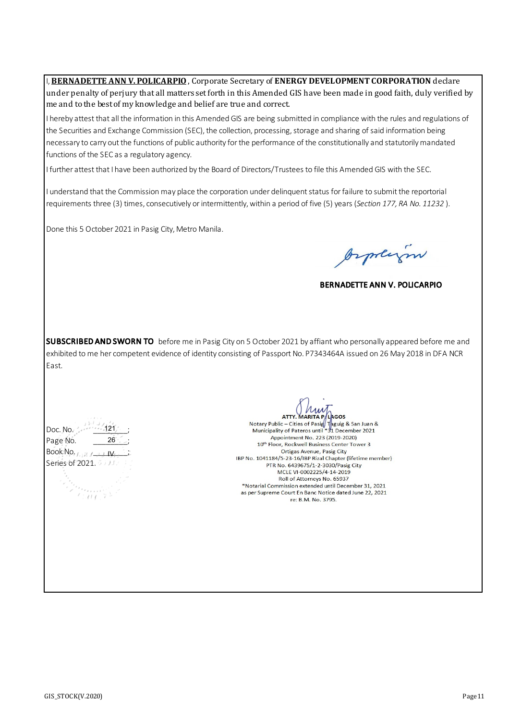**I, BERNADETTE ANN V. POLICARPIO**, Corporate Secretary of **ENERGY DEVELOPMENT CORPORATION** declare under penalty of perjury that all matters set forth in this Amended GIS have been made in good faith, duly verified by me and to the best of my knowledge and belief are true and correct. I hereby attest that all the information in this Amended GIS are being submitted in compliance with the rules and regulations of the Securities and Exchange Commission (SEC), the collection, processing, storage and sharing of said information being necessary to carry out the functions of public authority for the performance of the constitutionally and statutorily mandated functions of the SEC as a regulatory agency. I further attest that I have been authorized by the Board of Directors/Trustees to file this Amended GIS with the SEC.

I understand that the Commission may place the corporation under delinquent status for failure to submit the reportorial requirements three (3) times, consecutively or intermittently, within a period of five (5) years (*Section 177, RA No. 11232* ).

Done this 5 October 2021 in Pasig City, Metro Manila.

Orphysin

BERNADETTE ANN V. POLICARPIO

SUBSCRIBED AND SWORN TO before me in Pasig City on 5 October 2021 by affiant who personally appeared before me and exhibited to me her competent evidence of identity consisting of Passport No. P7343464A issued on 26 May 2018 in DFA NCR East.

Doc. No. Page No. \_\_\_\_\_\_\_\_;  $BookNp, j, j, j$ Series of 2021. 5 103. 121 26 IV

**ATTY, MARITA PA** (Lagos

Notary Public – Cities of Pasig Tagua & San Juan &<br>Municipality of Pateros until \*31 December 2021 Appointment No. 223 (2019-2020) 10th Floor, Rockwell Business Center Tower 3 Ortigas Avenue, Pasig City IBP No. 1041184/5-23-16/IBP Rizal Chapter (lifetime member) PTR No. 6439675/1-2-3030/Pasig City MCLE VI-0002225/4-14-2019 Roll of Attorneys No. 65937 \*Notarial Commission extended until December 31, 2021 as per Supreme Court En Banc Notice dated June 22, 2021 re: B.M. No. 3795.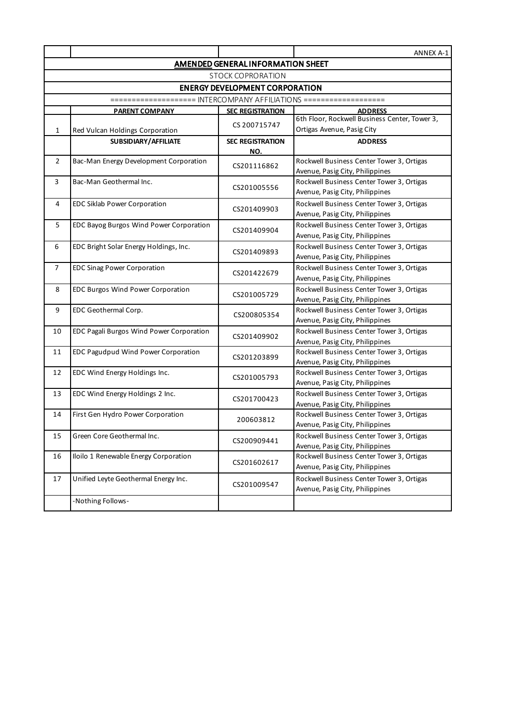|                                   |                                          |                                | ANNEX A-1                                                                    |  |  |  |  |  |  |  |  |
|-----------------------------------|------------------------------------------|--------------------------------|------------------------------------------------------------------------------|--|--|--|--|--|--|--|--|
| AMENDED GENERAL INFORMATION SHEET |                                          |                                |                                                                              |  |  |  |  |  |  |  |  |
|                                   | <b>STOCK COPRORATION</b>                 |                                |                                                                              |  |  |  |  |  |  |  |  |
|                                   | <b>ENERGY DEVELOPMENT CORPORATION</b>    |                                |                                                                              |  |  |  |  |  |  |  |  |
|                                   |                                          |                                |                                                                              |  |  |  |  |  |  |  |  |
|                                   | <u>PARENT COMPANY</u>                    | <b>SEC REGISTRATION</b>        | <b>ADDRESS</b>                                                               |  |  |  |  |  |  |  |  |
| $\mathbf{1}$                      | Red Vulcan Holdings Corporation          | CS 200715747                   | 6th Floor, Rockwell Business Center, Tower 3,<br>Ortigas Avenue, Pasig City  |  |  |  |  |  |  |  |  |
|                                   | SUBSIDIARY/AFFILIATE                     | <b>SEC REGISTRATION</b><br>NO. | <b>ADDRESS</b>                                                               |  |  |  |  |  |  |  |  |
| $\overline{2}$                    | Bac-Man Energy Development Corporation   | CS201116862                    | Rockwell Business Center Tower 3, Ortigas<br>Avenue, Pasig City, Philippines |  |  |  |  |  |  |  |  |
| 3                                 | Bac-Man Geothermal Inc.                  | CS201005556                    | Rockwell Business Center Tower 3, Ortigas<br>Avenue, Pasig City, Philippines |  |  |  |  |  |  |  |  |
| 4                                 | EDC Siklab Power Corporation             | CS201409903                    | Rockwell Business Center Tower 3, Ortigas<br>Avenue, Pasig City, Philippines |  |  |  |  |  |  |  |  |
| 5                                 | EDC Bayog Burgos Wind Power Corporation  | CS201409904                    | Rockwell Business Center Tower 3, Ortigas<br>Avenue, Pasig City, Philippines |  |  |  |  |  |  |  |  |
| 6                                 | EDC Bright Solar Energy Holdings, Inc.   | CS201409893                    | Rockwell Business Center Tower 3, Ortigas<br>Avenue, Pasig City, Philippines |  |  |  |  |  |  |  |  |
| $\overline{7}$                    | <b>EDC Sinag Power Corporation</b>       | CS201422679                    | Rockwell Business Center Tower 3, Ortigas<br>Avenue, Pasig City, Philippines |  |  |  |  |  |  |  |  |
| 8                                 | EDC Burgos Wind Power Corporation        | CS201005729                    | Rockwell Business Center Tower 3, Ortigas<br>Avenue, Pasig City, Philippines |  |  |  |  |  |  |  |  |
| 9                                 | EDC Geothermal Corp.                     | CS200805354                    | Rockwell Business Center Tower 3, Ortigas<br>Avenue, Pasig City, Philippines |  |  |  |  |  |  |  |  |
| 10                                | EDC Pagali Burgos Wind Power Corporation | CS201409902                    | Rockwell Business Center Tower 3, Ortigas<br>Avenue, Pasig City, Philippines |  |  |  |  |  |  |  |  |
| 11                                | EDC Pagudpud Wind Power Corporation      | CS201203899                    | Rockwell Business Center Tower 3, Ortigas<br>Avenue, Pasig City, Philippines |  |  |  |  |  |  |  |  |
| 12                                | EDC Wind Energy Holdings Inc.            | CS201005793                    | Rockwell Business Center Tower 3, Ortigas<br>Avenue, Pasig City, Philippines |  |  |  |  |  |  |  |  |
| 13                                | EDC Wind Energy Holdings 2 Inc.          | CS201700423                    | Rockwell Business Center Tower 3, Ortigas<br>Avenue, Pasig City, Philippines |  |  |  |  |  |  |  |  |
| 14                                | First Gen Hydro Power Corporation        | 200603812                      | Rockwell Business Center Tower 3, Ortigas<br>Avenue, Pasig City, Philippines |  |  |  |  |  |  |  |  |
| 15                                | Green Core Geothermal Inc.               | CS200909441                    | Rockwell Business Center Tower 3, Ortigas<br>Avenue, Pasig City, Philippines |  |  |  |  |  |  |  |  |
| 16                                | Iloilo 1 Renewable Energy Corporation    | CS201602617                    | Rockwell Business Center Tower 3, Ortigas<br>Avenue, Pasig City, Philippines |  |  |  |  |  |  |  |  |
| 17                                | Unified Leyte Geothermal Energy Inc.     | CS201009547                    | Rockwell Business Center Tower 3, Ortigas<br>Avenue, Pasig City, Philippines |  |  |  |  |  |  |  |  |
|                                   | -Nothing Follows-                        |                                |                                                                              |  |  |  |  |  |  |  |  |